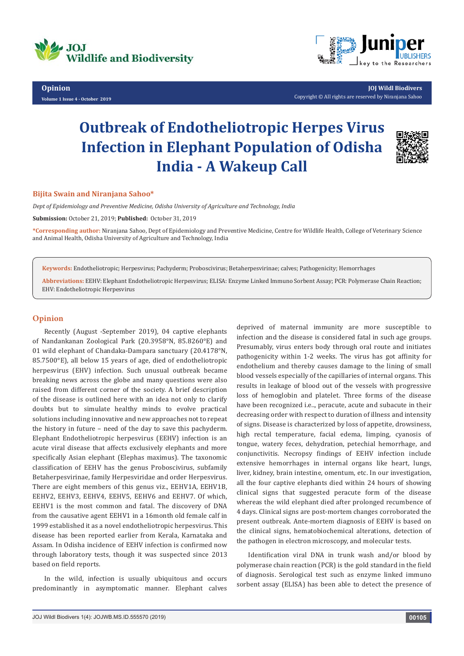

**Opinion Volume 1 Issue 4 - October 2019**



**JOJ Wildl Biodivers** Copyright © All rights are reserved by Niranjana Sahoo

## **Outbreak of Endotheliotropic Herpes Virus Infection in Elephant Population of Odisha India - A Wakeup Call**



## **Bijita Swain and Niranjana Sahoo\***

*Dept of Epidemiology and Preventive Medicine, Odisha University of Agriculture and Technology, India*

**Submission:** October 21, 2019; **Published:** October 31, 2019

**\*Corresponding author:** Niranjana Sahoo, Dept of Epidemiology and Preventive Medicine, Centre for Wildlife Health, College of Veterinary Science and Animal Health, Odisha University of Agriculture and Technology, India

**Keywords:** Endotheliotropic; Herpesvirus; Pachyderm; Proboscivirus; Betaherpesvirinae; calves; Pathogenicity; Hemorrhages

**Abbreviations:** EEHV: Elephant Endotheliotropic Herpesvirus; ELISA: Enzyme Linked Immuno Sorbent Assay; PCR: Polymerase Chain Reaction; EHV: Endotheliotropic Herpesvirus

## **Opinion**

Recently (August -September 2019), 04 captive elephants of Nandankanan Zoological Park (20.3958°N, 85.8260°E) and 01 wild elephant of Chandaka-Dampara sanctuary (20.4178°N, 85.7500°E), all below 15 years of age, died of endotheliotropic herpesvirus (EHV) infection. Such unusual outbreak became breaking news across the globe and many questions were also raised from different corner of the society. A brief description of the disease is outlined here with an idea not only to clarify doubts but to simulate healthy minds to evolve practical solutions including innovative and new approaches not to repeat the history in future – need of the day to save this pachyderm. Elephant Endotheliotropic herpesvirus (EEHV) infection is an acute viral disease that affects exclusively elephants and more specifically Asian elephant (Elephas maximus). The taxonomic classification of EEHV has the genus Proboscivirus, subfamily Betaherpesvirinae, family Herpesviridae and order Herpesvirus. There are eight members of this genus viz., EEHV1A, EEHV1B, EEHV2, EEHV3, EEHV4, EEHV5, EEHV6 and EEHV7. Of which, EEHV1 is the most common and fatal. The discovery of DNA from the causative agent EEHV1 in a 16month old female calf in 1999 established it as a novel endotheliotropic herpesvirus. This disease has been reported earlier from Kerala, Karnataka and Assam. In Odisha incidence of EEHV infection is confirmed now through laboratory tests, though it was suspected since 2013 based on field reports.

In the wild, infection is usually ubiquitous and occurs predominantly in asymptomatic manner. Elephant calves

deprived of maternal immunity are more susceptible to infection and the disease is considered fatal in such age groups. Presumably, virus enters body through oral route and initiates pathogenicity within 1-2 weeks. The virus has got affinity for endothelium and thereby causes damage to the lining of small blood vessels especially of the capillaries of internal organs. This results in leakage of blood out of the vessels with progressive loss of hemoglobin and platelet. Three forms of the disease have been recognized i.e.., peracute, acute and subacute in their decreasing order with respect to duration of illness and intensity of signs. Disease is characterized by loss of appetite, drowsiness, high rectal temperature, facial edema, limping, cyanosis of tongue, watery feces, dehydration, petechial hemorrhage, and conjunctivitis. Necropsy findings of EEHV infection include extensive hemorrhages in internal organs like heart, lungs, liver, kidney, brain intestine, omentum, etc. In our investigation, all the four captive elephants died within 24 hours of showing clinical signs that suggested peracute form of the disease whereas the wild elephant died after prolonged recumbence of 4 days. Clinical signs are post-mortem changes corroborated the present outbreak. Ante-mortem diagnosis of EEHV is based on the clinical signs, hematobiochemical alterations, detection of the pathogen in electron microscopy, and molecular tests.

Identification viral DNA in trunk wash and/or blood by polymerase chain reaction (PCR) is the gold standard in the field of diagnosis. Serological test such as enzyme linked immuno sorbent assay (ELISA) has been able to detect the presence of